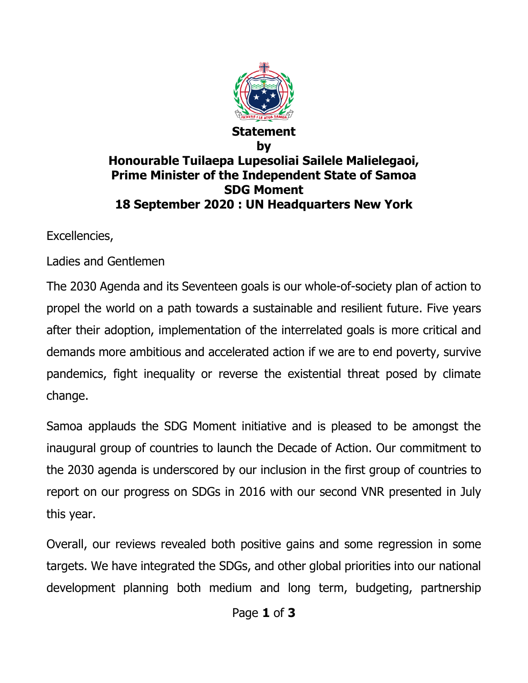

## **Statement by Honourable Tuilaepa Lupesoliai Sailele Malielegaoi, Prime Minister of the Independent State of Samoa SDG Moment 18 September 2020 : UN Headquarters New York**

Excellencies,

Ladies and Gentlemen

The 2030 Agenda and its Seventeen goals is our whole-of-society plan of action to propel the world on a path towards a sustainable and resilient future. Five years after their adoption, implementation of the interrelated goals is more critical and demands more ambitious and accelerated action if we are to end poverty, survive pandemics, fight inequality or reverse the existential threat posed by climate change.

Samoa applauds the SDG Moment initiative and is pleased to be amongst the inaugural group of countries to launch the Decade of Action. Our commitment to the 2030 agenda is underscored by our inclusion in the first group of countries to report on our progress on SDGs in 2016 with our second VNR presented in July this year.

Overall, our reviews revealed both positive gains and some regression in some targets. We have integrated the SDGs, and other global priorities into our national development planning both medium and long term, budgeting, partnership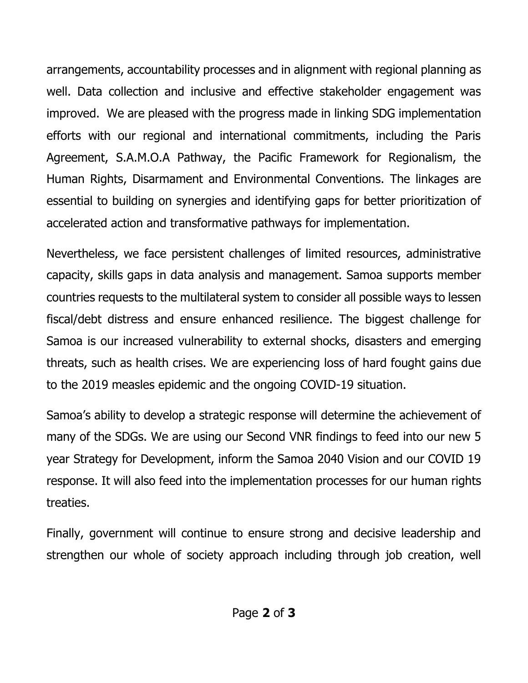arrangements, accountability processes and in alignment with regional planning as well. Data collection and inclusive and effective stakeholder engagement was improved. We are pleased with the progress made in linking SDG implementation efforts with our regional and international commitments, including the Paris Agreement, S.A.M.O.A Pathway, the Pacific Framework for Regionalism, the Human Rights, Disarmament and Environmental Conventions. The linkages are essential to building on synergies and identifying gaps for better prioritization of accelerated action and transformative pathways for implementation.

Nevertheless, we face persistent challenges of limited resources, administrative capacity, skills gaps in data analysis and management. Samoa supports member countries requests to the multilateral system to consider all possible ways to lessen fiscal/debt distress and ensure enhanced resilience. The biggest challenge for Samoa is our increased vulnerability to external shocks, disasters and emerging threats, such as health crises. We are experiencing loss of hard fought gains due to the 2019 measles epidemic and the ongoing COVID-19 situation.

Samoa's ability to develop a strategic response will determine the achievement of many of the SDGs. We are using our Second VNR findings to feed into our new 5 year Strategy for Development, inform the Samoa 2040 Vision and our COVID 19 response. It will also feed into the implementation processes for our human rights treaties.

Finally, government will continue to ensure strong and decisive leadership and strengthen our whole of society approach including through job creation, well